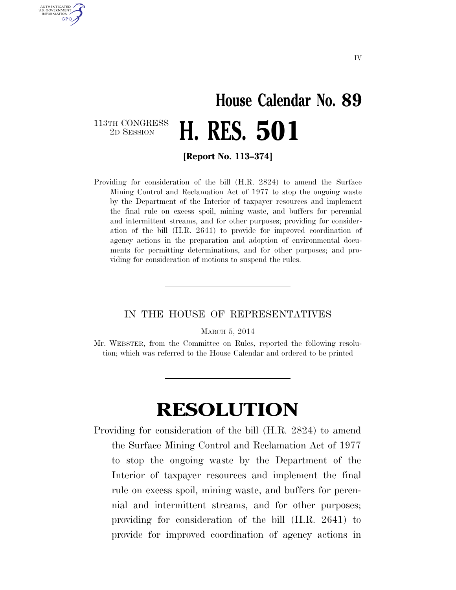## **House Calendar No. 89**  113TH CONGRESS<br>2D SESSION 2D SESSION **H. RES. 501**

**[Report No. 113–374]** 

U.S. GOVERNMENT **GPO** 

> Providing for consideration of the bill (H.R. 2824) to amend the Surface Mining Control and Reclamation Act of 1977 to stop the ongoing waste by the Department of the Interior of taxpayer resources and implement the final rule on excess spoil, mining waste, and buffers for perennial and intermittent streams, and for other purposes; providing for consideration of the bill (H.R. 2641) to provide for improved coordination of agency actions in the preparation and adoption of environmental documents for permitting determinations, and for other purposes; and providing for consideration of motions to suspend the rules.

## IN THE HOUSE OF REPRESENTATIVES

MARCH 5, 2014

Mr. WEBSTER, from the Committee on Rules, reported the following resolution; which was referred to the House Calendar and ordered to be printed

## **RESOLUTION**

Providing for consideration of the bill (H.R. 2824) to amend the Surface Mining Control and Reclamation Act of 1977 to stop the ongoing waste by the Department of the Interior of taxpayer resources and implement the final rule on excess spoil, mining waste, and buffers for perennial and intermittent streams, and for other purposes; providing for consideration of the bill (H.R. 2641) to provide for improved coordination of agency actions in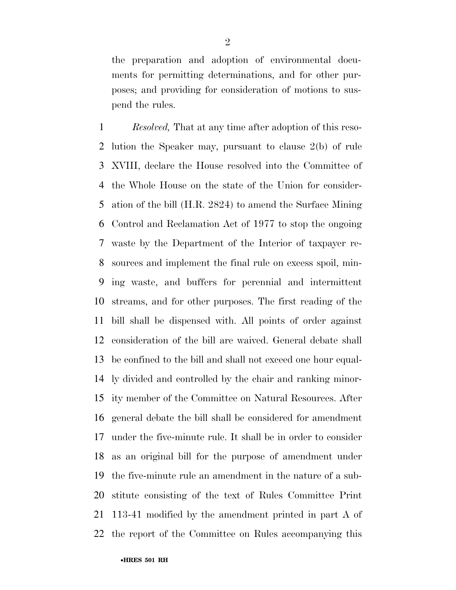the preparation and adoption of environmental documents for permitting determinations, and for other purposes; and providing for consideration of motions to suspend the rules.

 *Resolved,* That at any time after adoption of this reso- lution the Speaker may, pursuant to clause 2(b) of rule XVIII, declare the House resolved into the Committee of the Whole House on the state of the Union for consider- ation of the bill (H.R. 2824) to amend the Surface Mining Control and Reclamation Act of 1977 to stop the ongoing waste by the Department of the Interior of taxpayer re- sources and implement the final rule on excess spoil, min- ing waste, and buffers for perennial and intermittent streams, and for other purposes. The first reading of the bill shall be dispensed with. All points of order against consideration of the bill are waived. General debate shall be confined to the bill and shall not exceed one hour equal- ly divided and controlled by the chair and ranking minor- ity member of the Committee on Natural Resources. After general debate the bill shall be considered for amendment under the five-minute rule. It shall be in order to consider as an original bill for the purpose of amendment under the five-minute rule an amendment in the nature of a sub- stitute consisting of the text of Rules Committee Print 113-41 modified by the amendment printed in part A of the report of the Committee on Rules accompanying this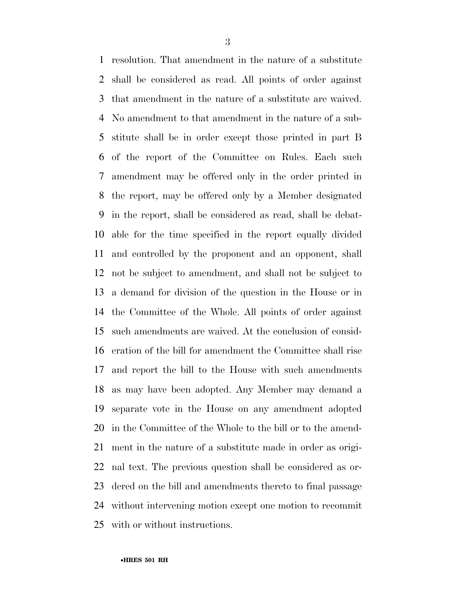resolution. That amendment in the nature of a substitute shall be considered as read. All points of order against that amendment in the nature of a substitute are waived. No amendment to that amendment in the nature of a sub- stitute shall be in order except those printed in part B of the report of the Committee on Rules. Each such amendment may be offered only in the order printed in the report, may be offered only by a Member designated in the report, shall be considered as read, shall be debat- able for the time specified in the report equally divided and controlled by the proponent and an opponent, shall not be subject to amendment, and shall not be subject to a demand for division of the question in the House or in the Committee of the Whole. All points of order against such amendments are waived. At the conclusion of consid- eration of the bill for amendment the Committee shall rise and report the bill to the House with such amendments as may have been adopted. Any Member may demand a separate vote in the House on any amendment adopted in the Committee of the Whole to the bill or to the amend- ment in the nature of a substitute made in order as origi- nal text. The previous question shall be considered as or- dered on the bill and amendments thereto to final passage without intervening motion except one motion to recommit with or without instructions.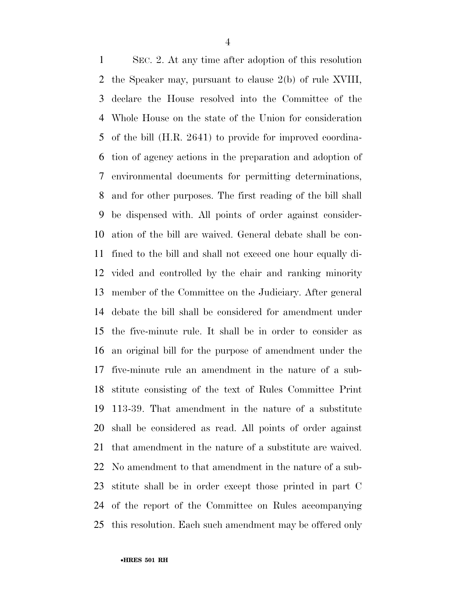SEC. 2. At any time after adoption of this resolution the Speaker may, pursuant to clause 2(b) of rule XVIII, declare the House resolved into the Committee of the Whole House on the state of the Union for consideration of the bill (H.R. 2641) to provide for improved coordina- tion of agency actions in the preparation and adoption of environmental documents for permitting determinations, and for other purposes. The first reading of the bill shall be dispensed with. All points of order against consider- ation of the bill are waived. General debate shall be con- fined to the bill and shall not exceed one hour equally di- vided and controlled by the chair and ranking minority member of the Committee on the Judiciary. After general debate the bill shall be considered for amendment under the five-minute rule. It shall be in order to consider as an original bill for the purpose of amendment under the five-minute rule an amendment in the nature of a sub- stitute consisting of the text of Rules Committee Print 113-39. That amendment in the nature of a substitute shall be considered as read. All points of order against that amendment in the nature of a substitute are waived. No amendment to that amendment in the nature of a sub- stitute shall be in order except those printed in part C of the report of the Committee on Rules accompanying this resolution. Each such amendment may be offered only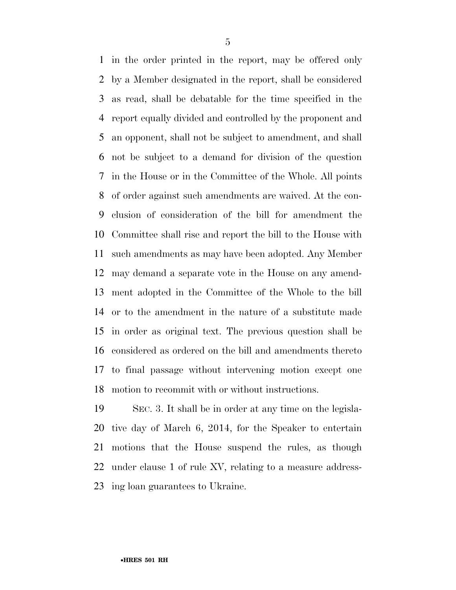in the order printed in the report, may be offered only by a Member designated in the report, shall be considered as read, shall be debatable for the time specified in the report equally divided and controlled by the proponent and an opponent, shall not be subject to amendment, and shall not be subject to a demand for division of the question in the House or in the Committee of the Whole. All points of order against such amendments are waived. At the con- clusion of consideration of the bill for amendment the Committee shall rise and report the bill to the House with such amendments as may have been adopted. Any Member may demand a separate vote in the House on any amend- ment adopted in the Committee of the Whole to the bill or to the amendment in the nature of a substitute made in order as original text. The previous question shall be considered as ordered on the bill and amendments thereto to final passage without intervening motion except one motion to recommit with or without instructions.

 SEC. 3. It shall be in order at any time on the legisla- tive day of March 6, 2014, for the Speaker to entertain motions that the House suspend the rules, as though under clause 1 of rule XV, relating to a measure address-ing loan guarantees to Ukraine.